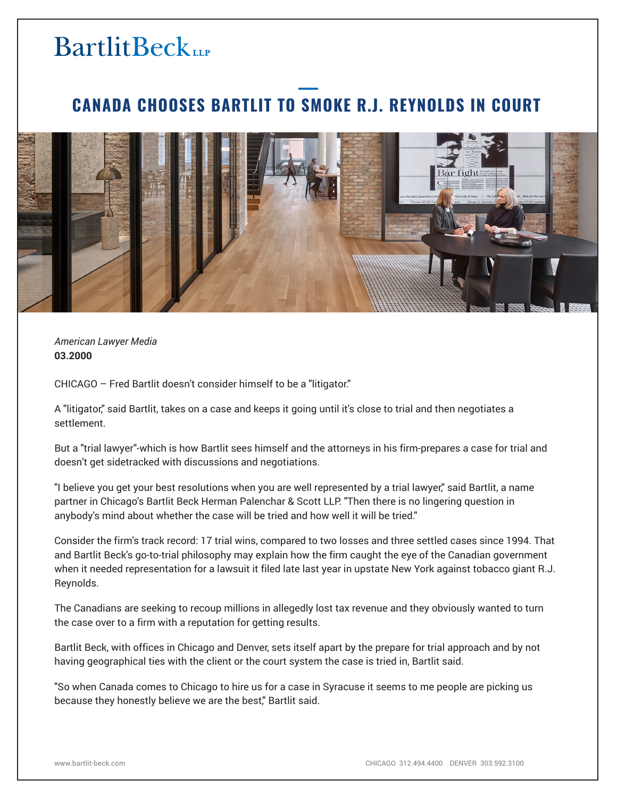## **BartlitBeck**

## **CANADA CHOOSES BARTLIT TO SMOKE R.J. REYNOLDS IN COURT**



*American Lawyer Media* **03.2000**

CHICAGO – Fred Bartlit doesn't consider himself to be a "litigator."

A "litigator," said Bartlit, takes on a case and keeps it going until it's close to trial and then negotiates a settlement.

But a "trial lawyer"-which is how Bartlit sees himself and the attorneys in his firm-prepares a case for trial and doesn't get sidetracked with discussions and negotiations.

"I believe you get your best resolutions when you are well represented by a trial lawyer," said Bartlit, a name partner in Chicago's Bartlit Beck Herman Palenchar & Scott LLP. "Then there is no lingering question in anybody's mind about whether the case will be tried and how well it will be tried."

Consider the firm's track record: 17 trial wins, compared to two losses and three settled cases since 1994. That and Bartlit Beck's go-to-trial philosophy may explain how the firm caught the eye of the Canadian government when it needed representation for a lawsuit it filed late last year in upstate New York against tobacco giant R.J. Reynolds.

The Canadians are seeking to recoup millions in allegedly lost tax revenue and they obviously wanted to turn the case over to a firm with a reputation for getting results.

Bartlit Beck, with offices in Chicago and Denver, sets itself apart by the prepare for trial approach and by not having geographical ties with the client or the court system the case is tried in, Bartlit said.

"So when Canada comes to Chicago to hire us for a case in Syracuse it seems to me people are picking us because they honestly believe we are the best," Bartlit said.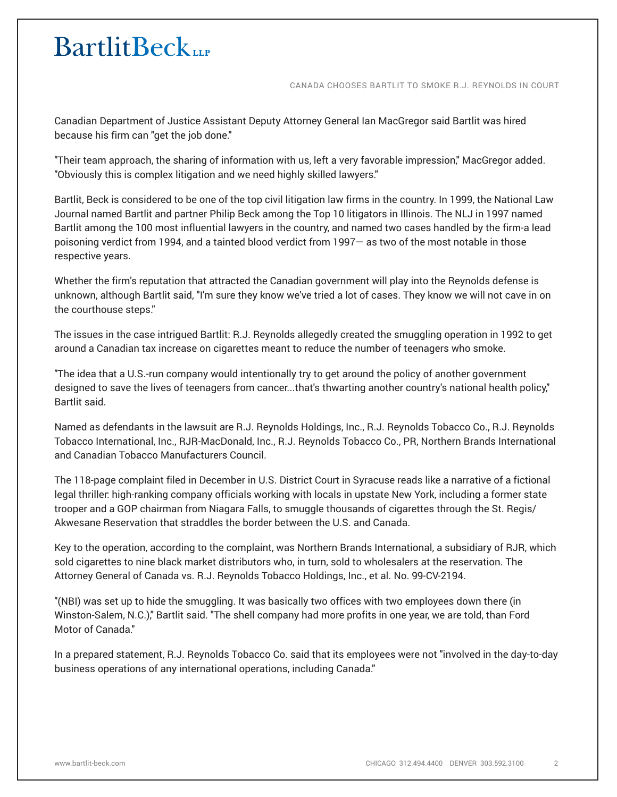## **BartlitBeck**

CANADA CHOOSES BARTLIT TO SMOKE R.J. REYNOLDS IN COURT

Canadian Department of Justice Assistant Deputy Attorney General Ian MacGregor said Bartlit was hired because his firm can "get the job done."

"Their team approach, the sharing of information with us, left a very favorable impression," MacGregor added. "Obviously this is complex litigation and we need highly skilled lawyers."

Bartlit, Beck is considered to be one of the top civil litigation law firms in the country. In 1999, the National Law Journal named Bartlit and partner Philip Beck among the Top 10 litigators in Illinois. The NLJ in 1997 named Bartlit among the 100 most influential lawyers in the country, and named two cases handled by the firm-a lead poisoning verdict from 1994, and a tainted blood verdict from 1997— as two of the most notable in those respective years.

Whether the firm's reputation that attracted the Canadian government will play into the Reynolds defense is unknown, although Bartlit said, "I'm sure they know we've tried a lot of cases. They know we will not cave in on the courthouse steps."

The issues in the case intrigued Bartlit: R.J. Reynolds allegedly created the smuggling operation in 1992 to get around a Canadian tax increase on cigarettes meant to reduce the number of teenagers who smoke.

"The idea that a U.S.-run company would intentionally try to get around the policy of another government designed to save the lives of teenagers from cancer...that's thwarting another country's national health policy," Bartlit said.

Named as defendants in the lawsuit are R.J. Reynolds Holdings, Inc., R.J. Reynolds Tobacco Co., R.J. Reynolds Tobacco International, Inc., RJR-MacDonald, Inc., R.J. Reynolds Tobacco Co., PR, Northern Brands International and Canadian Tobacco Manufacturers Council.

The 118-page complaint filed in December in U.S. District Court in Syracuse reads like a narrative of a fictional legal thriller: high-ranking company officials working with locals in upstate New York, including a former state trooper and a GOP chairman from Niagara Falls, to smuggle thousands of cigarettes through the St. Regis/ Akwesane Reservation that straddles the border between the U.S. and Canada.

Key to the operation, according to the complaint, was Northern Brands International, a subsidiary of RJR, which sold cigarettes to nine black market distributors who, in turn, sold to wholesalers at the reservation. The Attorney General of Canada vs. R.J. Reynolds Tobacco Holdings, Inc., et al. No. 99-CV-2194.

"(NBI) was set up to hide the smuggling. It was basically two offices with two employees down there (in Winston-Salem, N.C.)," Bartlit said. "The shell company had more profits in one year, we are told, than Ford Motor of Canada."

In a prepared statement, R.J. Reynolds Tobacco Co. said that its employees were not "involved in the day-to-day business operations of any international operations, including Canada."